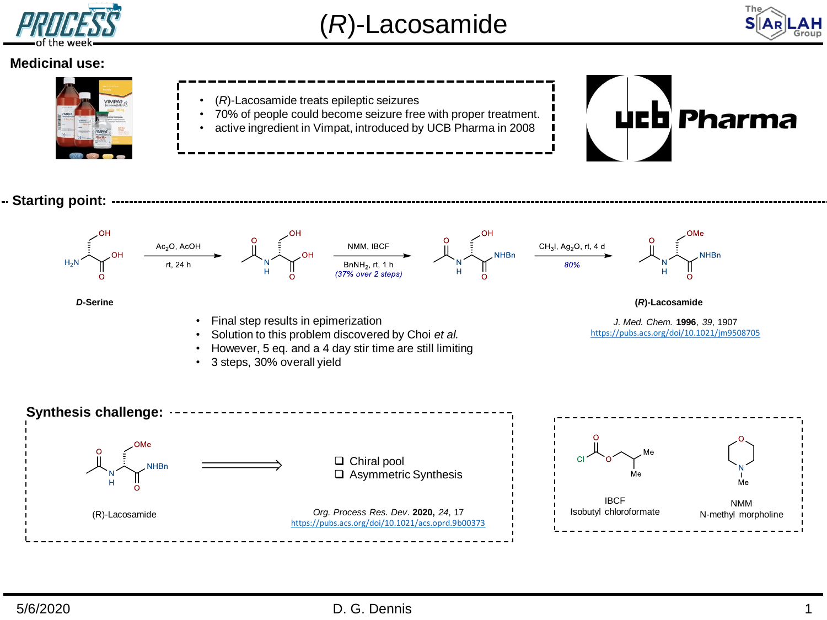



### **Medicinal use:**

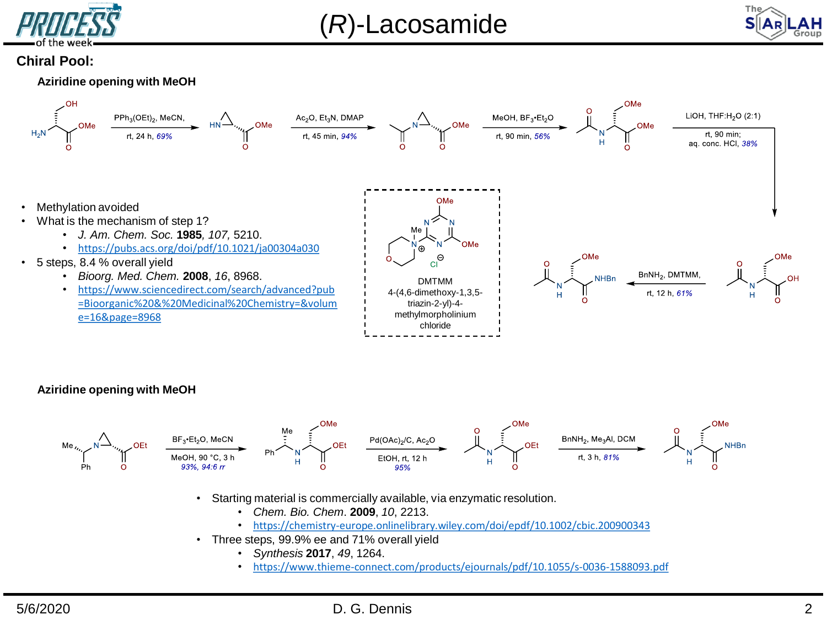

(*R*)-Lacosamide



#### **Chiral Pool:**





#### **Aziridine opening with MeOH**



- Starting material is commercially available, via enzymatic resolution.
	- *Chem. Bio. Chem*. **2009**, *10*, 2213.
	- <https://chemistry-europe.onlinelibrary.wiley.com/doi/epdf/10.1002/cbic.200900343>
- Three steps, 99.9% ee and 71% overall yield
	- *Synthesis* **2017**, *49*, 1264.
	- <https://www.thieme-connect.com/products/ejournals/pdf/10.1055/s-0036-1588093.pdf>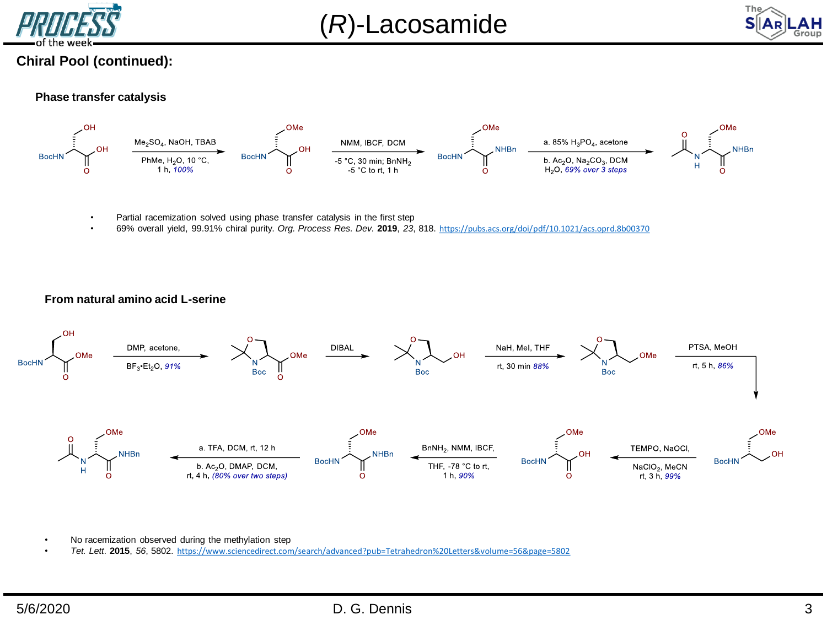



## **Chiral Pool (continued):**

#### **Phase transfer catalysis**



- Partial racemization solved using phase transfer catalysis in the first step
- 69% overall yield, 99.91% chiral purity. *Org. Process Res. Dev.* **2019**, *23*, 818. <https://pubs.acs.org/doi/pdf/10.1021/acs.oprd.8b00370>

#### **From natural amino acid L-serine**



No racemization observed during the methylation step

• *Tet. Lett*. **2015**, *56*, 5802. <https://www.sciencedirect.com/search/advanced?pub=Tetrahedron%20Letters&volume=56&page=5802>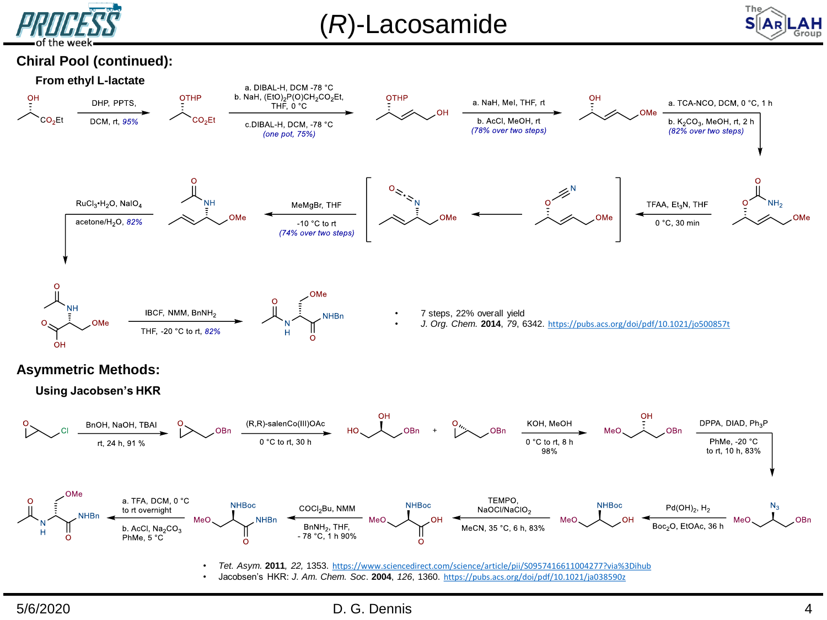



## **Chiral Pool (continued):**



5/6/2020 4 D. G. Dennis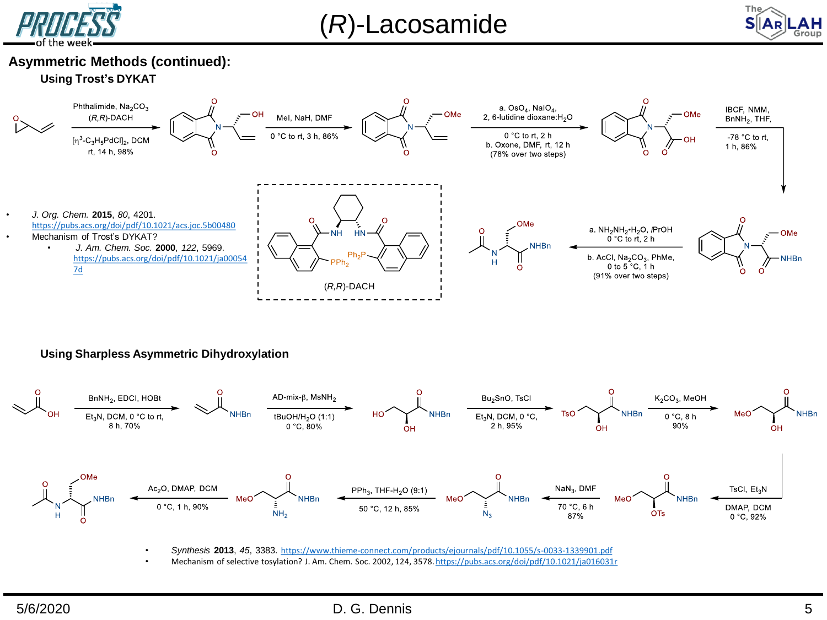



## **Asymmetric Methods (continued): Using Trost's DYKAT**



#### **Using Sharpless Asymmetric Dihydroxylation**



• *Synthesis* **2013**, *45*, 3383. <https://www.thieme-connect.com/products/ejournals/pdf/10.1055/s-0033-1339901.pdf>

• Mechanism of selective tosylation? J. Am. Chem. Soc. 2002, 124, 3578.<https://pubs.acs.org/doi/pdf/10.1021/ja016031r>